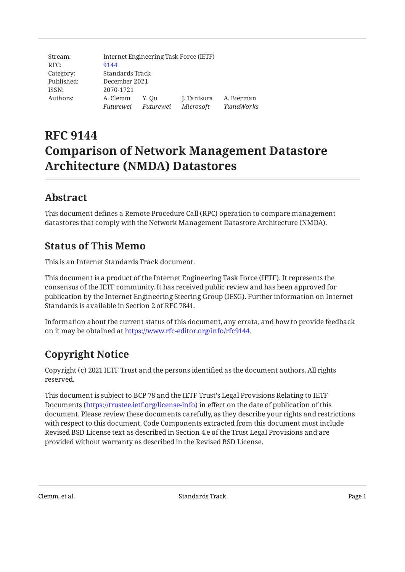| Stream:    | Internet Engineering Task Force (IETF) |                     |             |            |  |
|------------|----------------------------------------|---------------------|-------------|------------|--|
| RFC:       | 9144                                   |                     |             |            |  |
| Category:  | Standards Track                        |                     |             |            |  |
| Published: | December 2021                          |                     |             |            |  |
| ISSN:      | 2070-1721                              |                     |             |            |  |
| Authors:   | A. Clemm                               | Y. Ou               | J. Tantsura | A. Bierman |  |
|            |                                        | Futurewei Futurewei | Microsoft   | YumaWorks  |  |

# **RFC 9144 Comparison of Network Management Datastore Architecture (NMDA) Datastores**

# <span id="page-0-0"></span>**[Abstract](#page-0-0)**

This document defines a Remote Procedure Call (RPC) operation to compare management datastores that comply with the Network Management Datastore Architecture (NMDA).

# <span id="page-0-1"></span>**[Status of This Memo](#page-0-1)**

This is an Internet Standards Track document.

This document is a product of the Internet Engineering Task Force (IETF). It represents the consensus of the IETF community. It has received public review and has been approved for publication by the Internet Engineering Steering Group (IESG). Further information on Internet Standards is available in Section 2 of RFC 7841.

Information about the current status of this document, any errata, and how to provide feedback on it may be obtained at [https://www.rfc-editor.org/info/rfc9144.](https://www.rfc-editor.org/info/rfc9144)

# <span id="page-0-2"></span>**[Copyright Notice](#page-0-2)**

Copyright (c) 2021 IETF Trust and the persons identified as the document authors. All rights reserved.

This document is subject to BCP 78 and the IETF Trust's Legal Provisions Relating to IETF Documents (<https://trustee.ietf.org/license-info>) in effect on the date of publication of this document. Please review these documents carefully, as they describe your rights and restrictions with respect to this document. Code Components extracted from this document must include Revised BSD License text as described in Section 4.e of the Trust Legal Provisions and are provided without warranty as described in the Revised BSD License.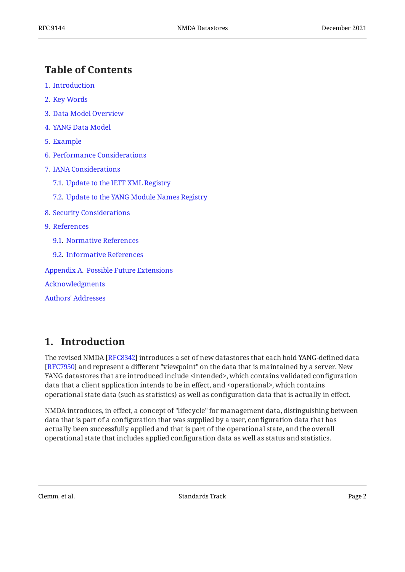# <span id="page-1-0"></span>**[Table of Contents](#page-1-0)**

- [1](#page-1-1). [Introduction](#page-1-1)
- [2](#page-2-0). [Key Words](#page-2-0)
- [3](#page-2-1). [Data Model Overview](#page-2-1)
- [4](#page-4-0). [YANG Data Model](#page-4-0)
- [5](#page-8-0). [Example](#page-8-0)
- [6](#page-11-0). [Performance Considerations](#page-11-0)
- [7](#page-12-0). [IANA Considerations](#page-12-0)
	- [7.1.](#page-12-1) [Update to the IETF XML Registry](#page-12-1)
	- [7.2.](#page-12-2) [Update to the YANG Module Names Registry](#page-12-2)
- [8](#page-12-3). [Security Considerations](#page-12-3)
- [9](#page-13-0). [References](#page-13-0)
	- [9.1.](#page-13-1) [Normative References](#page-13-1)
	- [9.2.](#page-14-0) [Informative References](#page-14-0)

[Appendix A.](#page-14-1) [Possible Future Extensions](#page-14-1)

[Acknowledgments](#page-15-0)

[Authors' Addresses](#page-15-1)

# <span id="page-1-1"></span>**[1. Introduction](#page-1-1)**

The revised NMDA [RFC8342] introduces a set of new datastores that each hold YANG-defined data [[RFC7950\]](#page-13-2) and represent a different "viewpoint" on the data that is maintained by a server. New YANG datastores that are introduced include <intended>, which contains validated configuration data that a client application intends to be in effect, and <operational>, which contains operational state data (such as statistics) as well as configuration data that is actually in effect.

NMDA introduces, in effect, a concept of "lifecycle" for management data, distinguishing between data that is part of a configuration that was supplied by a user, configuration data that has actually been successfully applied and that is part of the operational state, and the overall operational state that includes applied configuration data as well as status and statistics.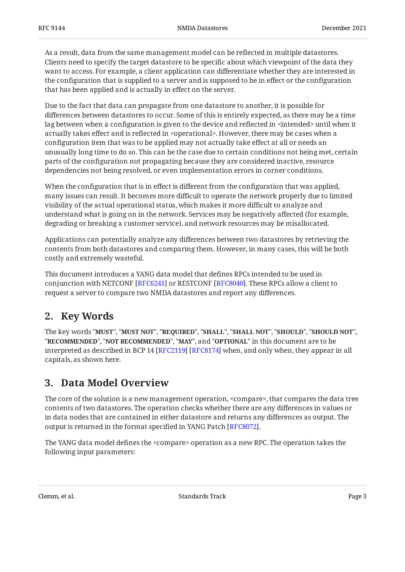As a result, data from the same management model can be reflected in multiple datastores. Clients need to specify the target datastore to be specific about which viewpoint of the data they want to access. For example, a client application can differentiate whether they are interested in the configuration that is supplied to a server and is supposed to be in effect or the configuration that has been applied and is actually in effect on the server.

Due to the fact that data can propagate from one datastore to another, it is possible for differences between datastores to occur. Some of this is entirely expected, as there may be a time lag between when a configuration is given to the device and reflected in <intended> until when it actually takes effect and is reflected in <operational>. However, there may be cases when a configuration item that was to be applied may not actually take effect at all or needs an unusually long time to do so. This can be the case due to certain conditions not being met, certain parts of the configuration not propagating because they are considered inactive, resource dependencies not being resolved, or even implementation errors in corner conditions.

When the configuration that is in effect is different from the configuration that was applied, many issues can result. It becomes more difficult to operate the network properly due to limited visibility of the actual operational status, which makes it more difficult to analyze and understand what is going on in the network. Services may be negatively affected (for example, degrading or breaking a customer service), and network resources may be misallocated.

Applications can potentially analyze any differences between two datastores by retrieving the contents from both datastores and comparing them. However, in many cases, this will be both costly and extremely wasteful.

This document introduces a YANG data model that defines RPCs intended to be used in conjunction with NETCONF [\[RFC6241](#page-13-3)] or RESTCONF [[RFC8040\]](#page-13-4). These RPCs allow a client to request a server to compare two NMDA datastores and report any differences.

### <span id="page-2-0"></span>**[2. Key Words](#page-2-0)**

The key words "MUST", "MUST NOT", "REQUIRED", "SHALL", "SHALL NOT", "SHOULD", "SHOULD NOT", "**RECOMMENDED", "NOT RECOMMENDED", "MAY",** and "OPTIONAL" in this document are to be interpreted as described in BCP 14 [RFC2119] [RFC8174] when, and only when, they appear in all capitals, as shown here.

# <span id="page-2-1"></span>**[3. Data Model Overview](#page-2-1)**

The core of the solution is a new management operation, <compare>, that compares the data tree contents of two datastores. The operation checks whether there are any differences in values or in data nodes that are contained in either datastore and returns any differences as output. The output is returned in the format specified in YANG Patch [\[RFC8072](#page-13-7)].

The YANG data model defines the <compare> operation as a new RPC. The operation takes the following input parameters: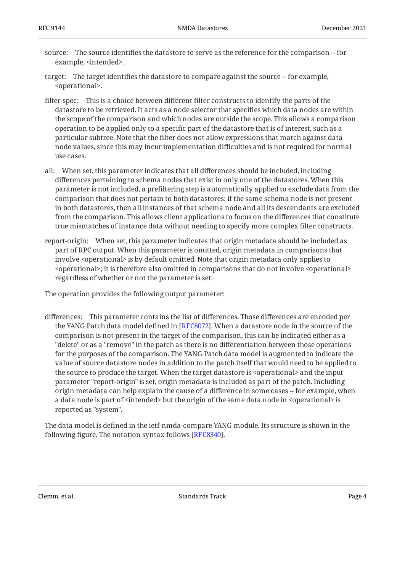- source: The source identifies the datastore to serve as the reference for the comparison -- for example, <intended>.
- target: The target identifies the datastore to compare against the source -- for example, <operational>.
- filter-spec: This is a choice between different filter constructs to identify the parts of the datastore to be retrieved. It acts as a node selector that specifies which data nodes are within the scope of the comparison and which nodes are outside the scope. This allows a comparison operation to be applied only to a specific part of the datastore that is of interest, such as a particular subtree. Note that the filter does not allow expressions that match against data node values, since this may incur implementation difficulties and is not required for normal use cases.
- all: When set, this parameter indicates that all differences should be included, including differences pertaining to schema nodes that exist in only one of the datastores. When this parameter is not included, a prefiltering step is automatically applied to exclude data from the comparison that does not pertain to both datastores: if the same schema node is not present in both datastores, then all instances of that schema node and all its descendants are excluded from the comparison. This allows client applications to focus on the differences that constitute true mismatches of instance data without needing to specify more complex filter constructs.
- report-origin: When set, this parameter indicates that origin metadata should be included as part of RPC output. When this parameter is omitted, origin metadata in comparisons that involve <operational> is by default omitted. Note that origin metadata only applies to <operational>; it is therefore also omitted in comparisons that do not involve <operational> regardless of whether or not the parameter is set.

The operation provides the following output parameter:

differences: This parameter contains the list of differences. Those differences are encoded per the YANG Patch data model defined in [[RFC8072\]](#page-13-7). When a datastore node in the source of the comparison is not present in the target of the comparison, this can be indicated either as a "delete" or as a "remove" in the patch as there is no differentiation between those operations for the purposes of the comparison. The YANG Patch data model is augmented to indicate the value of source datastore nodes in addition to the patch itself that would need to be applied to the source to produce the target. When the target datastore is <operational> and the input parameter "report-origin" is set, origin metadata is included as part of the patch. Including origin metadata can help explain the cause of a difference in some cases -- for example, when a data node is part of <intended> but the origin of the same data node in <operational> is reported as "system".

<span id="page-3-0"></span>The data model is defined in the ietf-nmda-compare YANG module. Its structure is shown in the following figure. The notation syntax follows [[RFC8340\]](#page-14-3).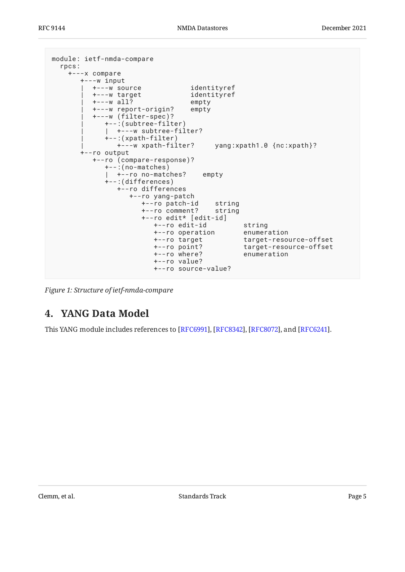```
module: ietf-nmda-compare
  rpcs:
    +---x compare
       +---w input
         | +---w source identityref
          | +---w target identityref
          | +---w all? empty
          | +---w report-origin? empty
          | +---w (filter-spec)?
             | +--:(subtree-filter)
            | +---w subtree-filter?
             | +--:(xpath-filter)
                | +---w xpath-filter? yang:xpath1.0 {nc:xpath}?
       +--ro output
          +--ro (compare-response)?
             +--:(no-matches)
             | +--ro no-matches? empty
             +--:(differences)
               +--ro differences
                  +--ro yang-patch
                     +--ro patch-id string
                     +--ro comment? string
                     +--ro edit* [edit-id]
                        +--ro edit-id string
                       +--ro operation
                        +--ro target target-resource-offset
                                           target-resource-offset
                        +--ro where? enumeration
                        +--ro value?
                        +--ro source-value?
```
<span id="page-4-0"></span>*[Figure 1:](#page-4-1) [Structure of ietf-nmda-compare](#page-3-0)* 

# **[4. YANG Data Model](#page-4-0)**

This YANG module includes references to [RFC6991], [RFC8342], [RFC8072], and [RFC6241].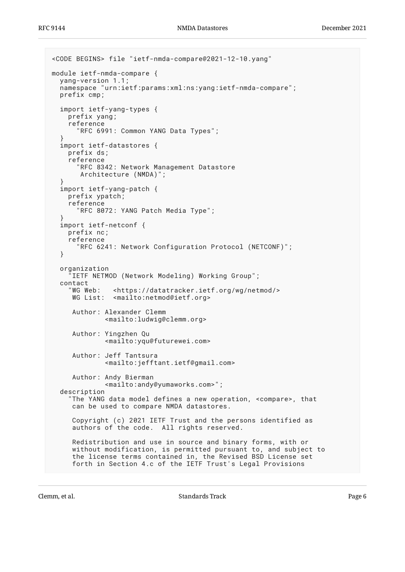```
<CODE BEGINS> file "ietf-nmda-compare@2021-12-10.yang"
module ietf-nmda-compare {
   yang-version 1.1;
   namespace "urn:ietf:params:xml:ns:yang:ietf-nmda-compare";
   prefix cmp;
   import ietf-yang-types {
     prefix yang;
     reference
       "RFC 6991: Common YANG Data Types";
 }
   import ietf-datastores {
     prefix ds;
     reference
       "RFC 8342: Network Management Datastore
        Architecture (NMDA)";
   }
   import ietf-yang-patch {
     prefix ypatch;
     reference
       "RFC 8072: YANG Patch Media Type";
 }
   import ietf-netconf {
     prefix nc;
     reference
       "RFC 6241: Network Configuration Protocol (NETCONF)";
   }
   organization
     "IETF NETMOD (Network Modeling) Working Group";
  contact<br>"WG Web:
               <https://datatracker.ietf.org/wg/netmod/>
     WG List: <mailto:netmod@ietf.org>
      Author: Alexander Clemm
              <mailto:ludwig@clemm.org>
      Author: Yingzhen Qu
              <mailto:yqu@futurewei.com>
      Author: Jeff Tantsura
              <mailto:jefftant.ietf@gmail.com>
      Author: Andy Bierman
              <mailto:andy@yumaworks.com>";
   description
     "The YANG data model defines a new operation, <compare>, that
      can be used to compare NMDA datastores.
      Copyright (c) 2021 IETF Trust and the persons identified as
      authors of the code. All rights reserved.
      Redistribution and use in source and binary forms, with or
 without modification, is permitted pursuant to, and subject to
 the license terms contained in, the Revised BSD License set
      forth in Section 4.c of the IETF Trust's Legal Provisions
```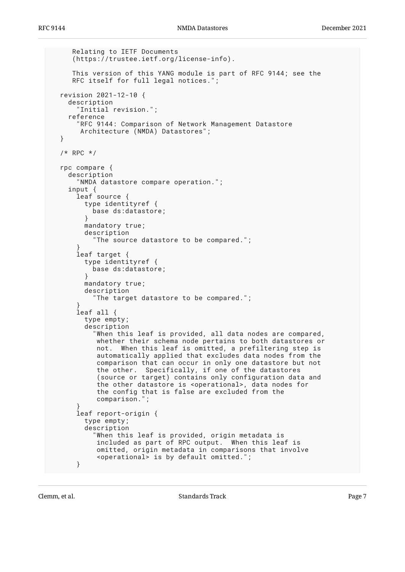```
 Relating to IETF Documents
     (https://trustee.ietf.org/license-info).
     This version of this YANG module is part of RFC 9144; see the
     RFC itself for full legal notices.";
  revision 2021-12-10 {
    description
       "Initial revision.";
    reference
       "RFC 9144: Comparison of Network Management Datastore
       Architecture (NMDA) Datastores";
  }
  /* RPC */
  rpc compare {
    description
      "NMDA datastore compare operation.";
 input {
 leaf source {
        type identityref {
          base ds:datastore;
        }
        mandatory true;
        description
           "The source datastore to be compared.";
 }
      leaf target {
        type identityref {
          base ds:datastore;
 }
        mandatory true;
        description
           "The target datastore to be compared.";
 }
      leaf all {
        type empty;
        description
           "When this leaf is provided, all data nodes are compared,
           whether their schema node pertains to both datastores or
           not. When this leaf is omitted, a prefiltering step is
           automatically applied that excludes data nodes from the
           comparison that can occur in only one datastore but not
 the other. Specifically, if one of the datastores
 (source or target) contains only configuration data and
 the other datastore is <operational>, data nodes for
 the config that is false are excluded from the
           comparison.";
 }
      leaf report-origin {
        type empty;
        description
           "When this leaf is provided, origin metadata is
            included as part of RPC output. When this leaf is
           omitted, origin metadata in comparisons that involve
            <operational> is by default omitted.";
      }
```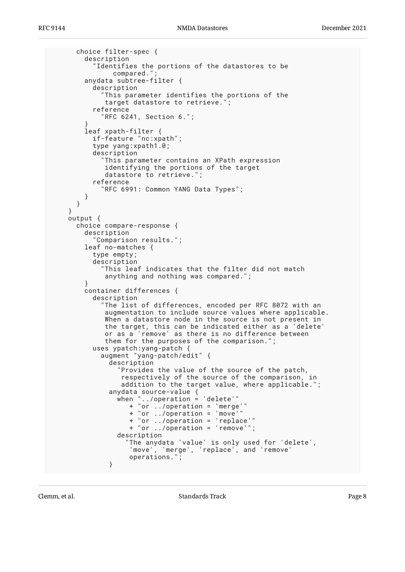```
 choice filter-spec {
         description
           "Identifies the portions of the datastores to be
              compared."
        anydata subtree-filter {
           description
            This parameter identifies the portions of the
            target datastore to retrieve.'
           reference
             "RFC 6241, Section 6.";
 }
         leaf xpath-filter {
          if-feature "nc:xpath";
           type yang:xpath1.0;
           description
             "This parameter contains an XPath expression
              identifying the portions of the target
              datastore to retrieve.";
           reference
             "RFC 6991: Common YANG Data Types";
        }
      }
    }
    output {
      choice compare-response {
        description
           "Comparison results.";
        leaf no-matches {
           type empty;
           description
             "This leaf indicates that the filter did not match
             anything and nothing was compared.";
 }
        container differences {
           description
             "The list of differences, encoded per RFC 8072 with an
              augmentation to include source values where applicable.
              When a datastore node in the source is not present in
              the target, this can be indicated either as a 'delete'
              or as a 'remove' as there is no difference between
             them for the purposes of the comparison.";
           uses ypatch:yang-patch {
             augment "yang-patch/edit" {
               description
                 "Provides the value of the source of the patch,
 respectively of the source of the comparison, in
 addition to the target value, where applicable.";
               anydata source-value {
                 when "../operation = 'delete'"
                    + "or ../operation = 'merge'"
                    + "or ../operation = 'move'"
                    + "or ../operation = 'replace'"
                    + "or ../operation = 'remove'";
                 description
                   'The anydata 'value' is only used for 'delete',
                    'move', 'merge', 'replace', and 'remove'
              operations."<br>}
 }
```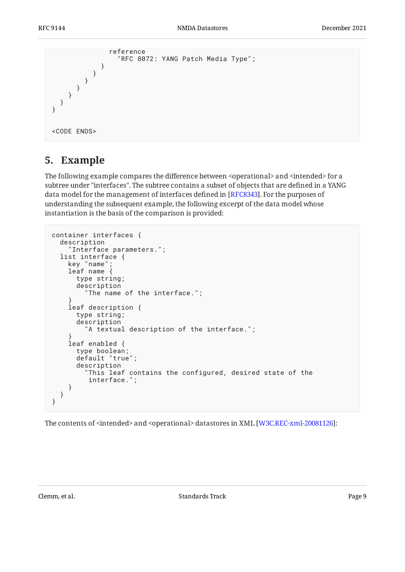```
 reference
         "RFC 8072: YANG Patch Media Type";
 }
 }
 }
 }
 }
  }
}
<CODE ENDS>
```
### <span id="page-8-0"></span>**[5. Example](#page-8-0)**

The following example compares the difference between <operational> and <intended> for a subtree under "interfaces". The subtree contains a subset of objects that are defined in a YANG data model for the management of interfaces defined in [RFC8343]. For the purposes of understanding the subsequent example, the following excerpt of the data model whose instantiation is the basis of the comparison is provided:

```
container interfaces {
   description
     "Interface parameters.";
   list interface {
     key "name";
     leaf name {
       type string;
       description
          "The name of the interface.";
 }
     leaf description {
       type string;
       description
        "A textual description of the interface.";
 }
     leaf enabled {
       type boolean;
       default "true";
       description
          "This leaf contains the configured, desired state of the
          interface.";
     }
   }
}
```
The contents of <intended> and <operational> datastores in XML [W3C.REC-xml-20081126]: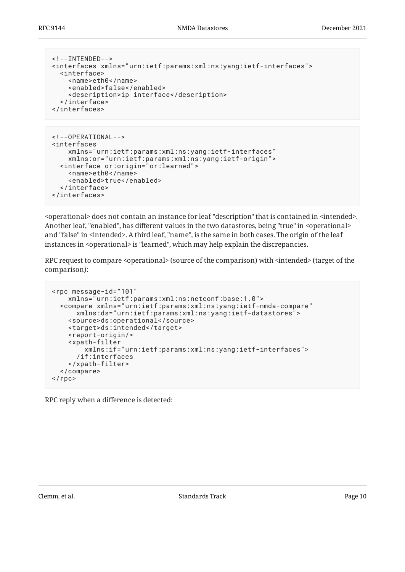```
<!--INTENDED-->
<interfaces xmlns="urn:ietf:params:xml:ns:yang:ietf-interfaces">
   <interface>
     <name>eth0</name>
     <enabled>false</enabled>
     <description>ip interface</description>
   </interface>
</interfaces>
```

```
<!--OPERATIONAL-->
<interfaces
     xmlns="urn:ietf:params:xml:ns:yang:ietf-interfaces"
     xmlns:or="urn:ietf:params:xml:ns:yang:ietf-origin">
   <interface or:origin="or:learned">
     <name>eth0</name>
     <enabled>true</enabled>
   </interface>
</interfaces>
```
<operational> does not contain an instance for leaf "description" that is contained in <intended>. Another leaf, "enabled", has different values in the two datastores, being "true" in <operational> and "false" in <intended>. A third leaf, "name", is the same in both cases. The origin of the leaf instances in <operational> is "learned", which may help explain the discrepancies.

RPC request to compare <operational> (source of the comparison) with <intended> (target of the comparison):

```
<rpc message-id="101"
     xmlns="urn:ietf:params:xml:ns:netconf:base:1.0">
   <compare xmlns="urn:ietf:params:xml:ns:yang:ietf-nmda-compare"
       xmlns:ds="urn:ietf:params:xml:ns:yang:ietf-datastores">
     <source>ds:operational</source>
     <target>ds:intended</target>
     <report-origin/>
     <xpath-filter
         xmlns:if="urn:ietf:params:xml:ns:yang:ietf-interfaces">
       /if:interfaces
     </xpath-filter>
   </compare>
\langle rpc>
```
RPC reply when a difference is detected: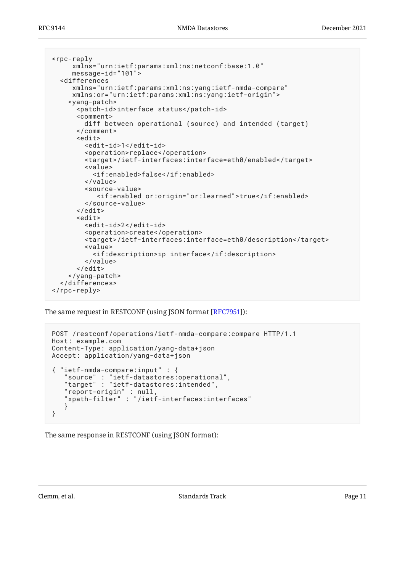```
<rpc-reply
      xmlns="urn:ietf:params:xml:ns:netconf:base:1.0"
      message-id="101">
   <differences
      xmlns="urn:ietf:params:xml:ns:yang:ietf-nmda-compare"
      xmlns:or="urn:ietf:params:xml:ns:yang:ietf-origin">
     <yang-patch>
       <patch-id>interface status</patch-id>
       <comment>
         diff between operational (source) and intended (target)
       </comment>
      > <edit-id>1</edit-id>
         <operation>replace</operation>
         <target>/ietf-interfaces:interface=eth0/enabled</target>
         <value>
           <if:enabled>false</if:enabled>
         </value>
         <source-value>
            <if:enabled or:origin="or:learned">true</if:enabled>
         </source-value>
       </edit>
       <edit>
         <edit-id>2</edit-id>
         <operation>create</operation>
         <target>/ietf-interfaces:interface=eth0/description</target>
         <value>
           <if:description>ip interface</if:description>
         </value>
       </edit>
     </yang-patch>
   </differences>
</rpc-reply>
```
The same request in RESTCONF (using JSON format [RFC7951]):

```
POST /restconf/operations/ietf-nmda-compare:compare HTTP/1.1
Host: example.com
Content-Type: application/yang-data+json
Accept: application/yang-data+json
{ "ietf-nmda-compare:input" : {
 "source" : "ietf-datastores:operational",
 "target" : "ietf-datastores:intended",
 "report-origin" : null,
 "xpath-filter" : "/ietf-interfaces:interfaces"
    }
}
```
The same response in RESTCONF (using JSON format):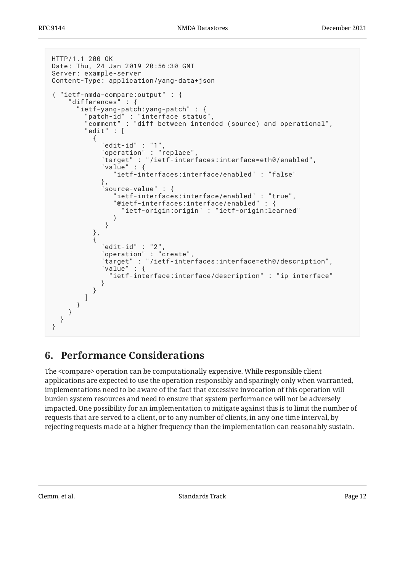```
HTTP/1.1 200 OK
Date: Thu, 24 Jan 2019 20:56:30 GMT
Server: example-server
Content-Type: application/yang-data+json
{ "ietf-nmda-compare:output" : {
    differences" : {
      ietf-yang-patch:yang-patch" : {
       "patch-id" : "interface status",
        "comment" : "diff between intended (source) and operational",
       "edit" : [\{ "edit-id" : "1",
 "operation" : "replace",
 "target" : "/ietf-interfaces:interface=eth0/enabled",
 "value" : {
              "ietf-interfaces:interface/enabled" : "false"
\},
 "source-value" : {
              "ietf-interfaces:interface/enabled" : "true",
              "@ietf-interfaces:interface/enabled" : {
                "ietf-origin:origin" : "ietf-origin:learned"
 }
 }
          },
\{"edit-id" :: "2" "operation" : "create",
           "target" : "/ietf-interfaces:interface=eth0/description",
           "value" : {
             "ietf-interface:interface/description" : "ip interface"
 }
 }
 ]
 }
 }
  }
}
```
# <span id="page-11-0"></span>**[6. Performance Considerations](#page-11-0)**

The <compare> operation can be computationally expensive. While responsible client applications are expected to use the operation responsibly and sparingly only when warranted, implementations need to be aware of the fact that excessive invocation of this operation will burden system resources and need to ensure that system performance will not be adversely impacted. One possibility for an implementation to mitigate against this is to limit the number of requests that are served to a client, or to any number of clients, in any one time interval, by rejecting requests made at a higher frequency than the implementation can reasonably sustain.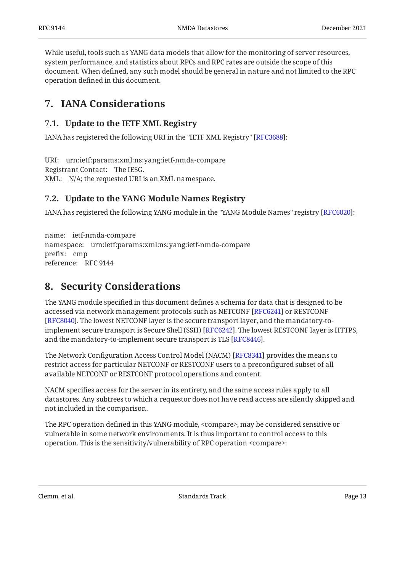While useful, tools such as YANG data models that allow for the monitoring of server resources, system performance, and statistics about RPCs and RPC rates are outside the scope of this document. When defined, any such model should be general in nature and not limited to the RPC operation defined in this document.

### <span id="page-12-1"></span><span id="page-12-0"></span>**[7. IANA Considerations](#page-12-0)**

### **[7.1. Update to the IETF XML Registry](#page-12-1)**

IANA has registered the following URI in the "IETF XML Registry" [RFC3688]:

URI: urn:ietf:params:xml:ns:yang:ietf-nmda-compare Registrant Contact: The IESG. XML: N/A; the requested URI is an XML namespace.

#### <span id="page-12-2"></span>**[7.2. Update to the YANG Module Names Registry](#page-12-2)**

IANA has registered the following YANG module in the "YANG Module Names" registry [RFC6020]:

name: ietf-nmda-compare namespace: urn:ietf:params:xml:ns:yang:ietf-nmda-compare prefix: cmp reference: RFC 9144

# <span id="page-12-3"></span>**[8. Security Considerations](#page-12-3)**

The YANG module specified in this document defines a schema for data that is designed to be accessed via network management protocols such as NETCONF [RFC6241] or RESTCONF . The lowest NETCONF layer is the secure transport layer, and the mandatory-to-[[RFC8040\]](#page-13-4) implement secure transport is Secure Shell (SSH) [RFC6242]. The lowest RESTCONF layer is HTTPS,  $\,$ and the mandatory-to-implement secure transport is TLS [\[RFC8446](#page-14-6)].

The Network Configuration Access Control Model (NACM) [RFC8341] provides the means to restrict access for particular NETCONF or RESTCONF users to a preconfigured subset of all available NETCONF or RESTCONF protocol operations and content.

NACM specifies access for the server in its entirety, and the same access rules apply to all datastores. Any subtrees to which a requestor does not have read access are silently skipped and not included in the comparison.

The RPC operation defined in this YANG module, <compare>, may be considered sensitive or vulnerable in some network environments. It is thus important to control access to this operation. This is the sensitivity/vulnerability of RPC operation <compare>: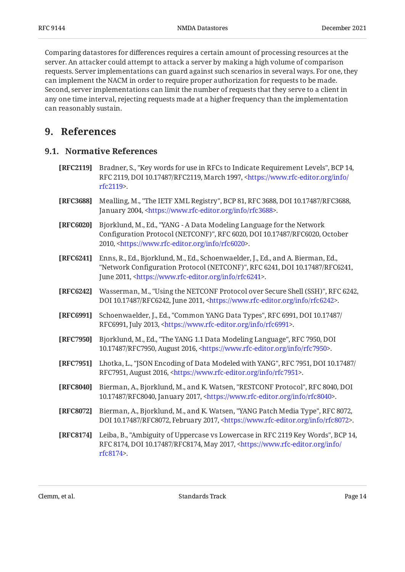Comparing datastores for differences requires a certain amount of processing resources at the server. An attacker could attempt to attack a server by making a high volume of comparison requests. Server implementations can guard against such scenarios in several ways. For one, they can implement the NACM in order to require proper authorization for requests to be made. Second, server implementations can limit the number of requests that they serve to a client in any one time interval, rejecting requests made at a higher frequency than the implementation can reasonably sustain.

### <span id="page-13-1"></span><span id="page-13-0"></span>**[9. References](#page-13-0)**

#### **[9.1. Normative References](#page-13-1)**

- <span id="page-13-5"></span>**[RFC2119]** Bradner, S., "Key words for use in RFCs to Indicate Requirement Levels", BCP 14, RFC 2119, DOI 10.17487/RFC2119, March 1997, [<https://www.rfc-editor.org/info/](https://www.rfc-editor.org/info/rfc2119) . [rfc2119](https://www.rfc-editor.org/info/rfc2119)>
- <span id="page-13-10"></span>**[RFC3688]** Mealling, M., "The IETF XML Registry", BCP 81, RFC 3688, DOI 10.17487/RFC3688, January 2004, <https://www.rfc-editor.org/info/rfc3688>.
- <span id="page-13-11"></span>**[RFC6020]** , Bjorklund, M., Ed. "YANG - A Data Modeling Language for the Network Configuration Protocol (NETCONF)", RFC 6020, DOI 10.17487/RFC6020, October 2010, <[https://www.rfc-editor.org/info/rfc6020>](https://www.rfc-editor.org/info/rfc6020).
- <span id="page-13-3"></span>**[RFC6241]** Enns, R., Ed., Bjorklund, M., Ed., Schoenwaelder, J., Ed., and A. Bierman, Ed., "Network Configuration Protocol (NETCONF)", RFC 6241, DOI 10.17487/RFC6241, June 2011, <https://www.rfc-editor.org/info/rfc6241>.
- <span id="page-13-12"></span>**[RFC6242]** Wasserman, M., "Using the NETCONF Protocol over Secure Shell (SSH)", RFC 6242, DOI 10.17487/RFC6242, June 2011, <https://www.rfc-editor.org/info/rfc6242>.
- <span id="page-13-8"></span>**[RFC6991]** Schoenwaelder, J., Ed., "Common YANG Data Types", RFC 6991, DOI 10.17487/ RFC6991, July 2013, <https://www.rfc-editor.org/info/rfc6991>.
- <span id="page-13-2"></span>**[RFC7950]** Bjorklund, M., Ed., "The YANG 1.1 Data Modeling Language", RFC 7950, DOI 10.17487/RFC7950, August 2016, <https://www.rfc-editor.org/info/rfc7950>.
- <span id="page-13-9"></span>**[RFC7951]** Lhotka, L., "JSON Encoding of Data Modeled with YANG", RFC 7951, DOI 10.17487/ RFC7951, August 2016, <https://www.rfc-editor.org/info/rfc7951>.
- <span id="page-13-4"></span>**[RFC8040]** Bierman, A., Bjorklund, M., and K. Watsen, "RESTCONF Protocol", RFC 8040, DOI 10.17487/RFC8040, January 2017, <https://www.rfc-editor.org/info/rfc8040>.
- <span id="page-13-7"></span>**[RFC8072]** Bierman, A., Bjorklund, M., and K. Watsen, "YANG Patch Media Type", RFC 8072, DOI 10.17487/RFC8072, February 2017, <https://www.rfc-editor.org/info/rfc8072>.
- <span id="page-13-6"></span>**[RFC8174]** Leiba, B., "Ambiguity of Uppercase vs Lowercase in RFC 2119 Key Words", BCP 14, RFC 8174, DOI 10.17487/RFC8174, May 2017, <[https://www.rfc-editor.org/info/](https://www.rfc-editor.org/info/rfc8174) . [rfc8174](https://www.rfc-editor.org/info/rfc8174)>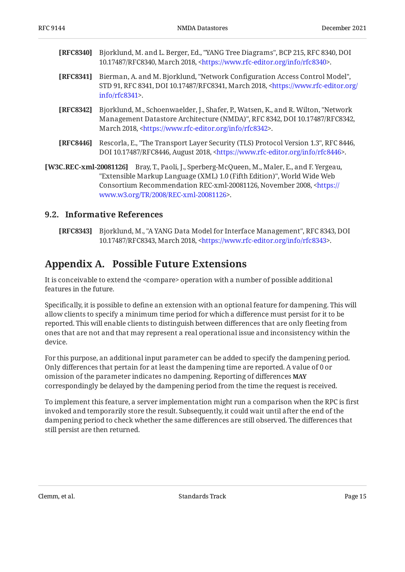<span id="page-14-3"></span>

| <b>[RFC8340]</b> Bjorklund, M. and L. Berger, Ed., "YANG Tree Diagrams", BCP 215, RFC 8340, DOI |
|-------------------------------------------------------------------------------------------------|
| 10.17487/RFC8340, March 2018, <https: info="" rfc8340="" www.rfc-editor.org="">.</https:>       |

- <span id="page-14-7"></span>**[RFC8341]** Bierman, A. and M. Bjorklund, "Network Configuration Access Control Model", STD 91, RFC 8341, DOI 10.17487/RFC8341, March 2018, [<https://www.rfc-editor.org/](https://www.rfc-editor.org/info/rfc8341) . [info/rfc8341>](https://www.rfc-editor.org/info/rfc8341)
- <span id="page-14-2"></span>**[RFC8342]** Bjorklund, M., Schoenwaelder, J., Shafer, P., Watsen, K., and R. Wilton, "Network Management Datastore Architecture (NMDA)", RFC 8342, DOI 10.17487/RFC8342, March 2018, <https://www.rfc-editor.org/info/rfc8342>.
- <span id="page-14-6"></span>**[RFC8446]** Rescorla, E., "The Transport Layer Security (TLS) Protocol Version 1.3", RFC 8446, DOI 10.17487/RFC8446, August 2018, <https://www.rfc-editor.org/info/rfc8446>.
- <span id="page-14-5"></span>**[W3C.REC-xml-20081126]** Bray, T., Paoli, J., Sperberg-McQueen, M., Maler, E., and F. Yergeau, "Extensible Markup Language (XML) 1.0 (Fifth Edition)", World Wide Web Consortium Recommendation REC-xml-20081126, November 2008, [<https://](https://www.w3.org/TR/2008/REC-xml-20081126) . [www.w3.org/TR/2008/REC-xml-20081126>](https://www.w3.org/TR/2008/REC-xml-20081126)

#### <span id="page-14-0"></span>**[9.2. Informative References](#page-14-0)**

<span id="page-14-4"></span>**[RFC8343]** Bjorklund, M., "A YANG Data Model for Interface Management", RFC 8343, DOI 10.17487/RFC8343, March 2018, <[https://www.rfc-editor.org/info/rfc8343>](https://www.rfc-editor.org/info/rfc8343).

### <span id="page-14-1"></span>**[Appendix A. Possible Future Extensions](#page-14-1)**

It is conceivable to extend the <compare> operation with a number of possible additional features in the future.

Specifically, it is possible to define an extension with an optional feature for dampening. This will allow clients to specify a minimum time period for which a difference must persist for it to be reported. This will enable clients to distinguish between differences that are only fleeting from ones that are not and that may represent a real operational issue and inconsistency within the device.

For this purpose, an additional input parameter can be added to specify the dampening period. Only differences that pertain for at least the dampening time are reported. A value of 0 or omission of the parameter indicates no dampening. Reporting of differences **MAY** correspondingly be delayed by the dampening period from the time the request is received.

To implement this feature, a server implementation might run a comparison when the RPC is first invoked and temporarily store the result. Subsequently, it could wait until after the end of the dampening period to check whether the same differences are still observed. The differences that still persist are then returned.